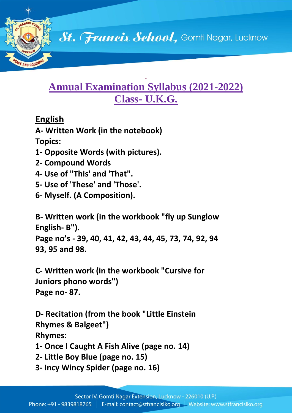

#### **. Annual Examination Syllabus (2021-2022) Class- U.K.G.**

### **English**

AND COOP

**A- Written Work (in the notebook)**

- **Topics:**
- **1- Opposite Words (with pictures).**
- **2- Compound Words**
- **4- Use of "This' and 'That".**
- **5- Use of 'These' and 'Those'.**
- **6- Myself. (A Composition).**

**B- Written work (in the workbook "fly up Sunglow English- B"). Page no's - 39, 40, 41, 42, 43, 44, 45, 73, 74, 92, 94 93, 95 and 98.**

**C- Written work (in the workbook "Cursive for Juniors phono words") Page no- 87.**

**D- Recitation (from the book "Little Einstein Rhymes & Balgeet") Rhymes:**

**1- Once I Caught A Fish Alive (page no. 14)**

- **2- Little Boy Blue (page no. 15)**
- **3- Incy Wincy Spider (page no. 16)**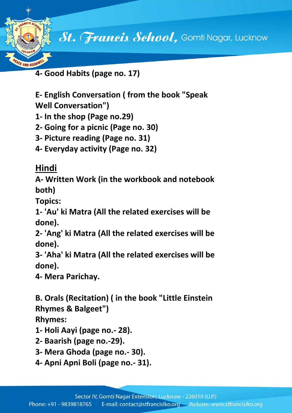

**4- Good Habits (page no. 17)**

**E- English Conversation ( from the book "Speak Well Conversation")**

- **1- In the shop (Page no.29)**
- **2- Going for a picnic (Page no. 30)**
- **3- Picture reading (Page no. 31)**
- **4- Everyday activity (Page no. 32)**

### **Hindi**

**A- Written Work (in the workbook and notebook both)**

**Topics:**

**1- 'Au' ki Matra (All the related exercises will be done).**

**2- 'Ang' ki Matra (All the related exercises will be done).**

**3- 'Aha' ki Matra (All the related exercises will be done).**

**4- Mera Parichay.**

**B. Orals (Recitation) ( in the book "Little Einstein Rhymes & Balgeet")**

### **Rhymes:**

- **1- Holi Aayi (page no.- 28).**
- **2- Baarish (page no.-29).**
- **3- Mera Ghoda (page no.- 30).**
- **4- Apni Apni Boli (page no.- 31).**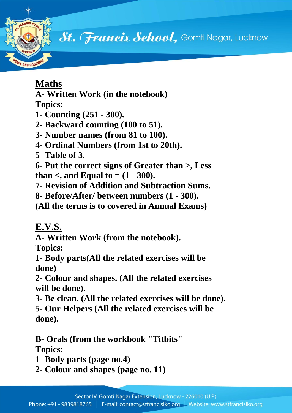

St. Francis School, Gomti Nagar, Lucknow

# **Maths**

**A- Written Work (in the notebook)**

**Topics:**

- **1- Counting (251 - 300).**
- **2- Backward counting (100 to 51).**
- **3- Number names (from 81 to 100).**
- **4- Ordinal Numbers (from 1st to 20th).**
- **5- Table of 3.**

**6- Put the correct signs of Greater than >, Less than** <, and Equal to =  $(1 - 300)$ .

- **7- Revision of Addition and Subtraction Sums.**
- **8- Before/After/ between numbers (1 - 300).**

**(All the terms is to covered in Annual Exams)**

# **E.V.S.**

**A- Written Work (from the notebook).**

**Topics:**

**1- Body parts(All the related exercises will be done)**

**2- Colour and shapes. (All the related exercises will be done).**

- **3- Be clean. (All the related exercises will be done).**
- **5- Our Helpers (All the related exercises will be done).**

**B- Orals (from the workbook "Titbits" Topics:**

- **1- Body parts (page no.4)**
- **2- Colour and shapes (page no. 11)**